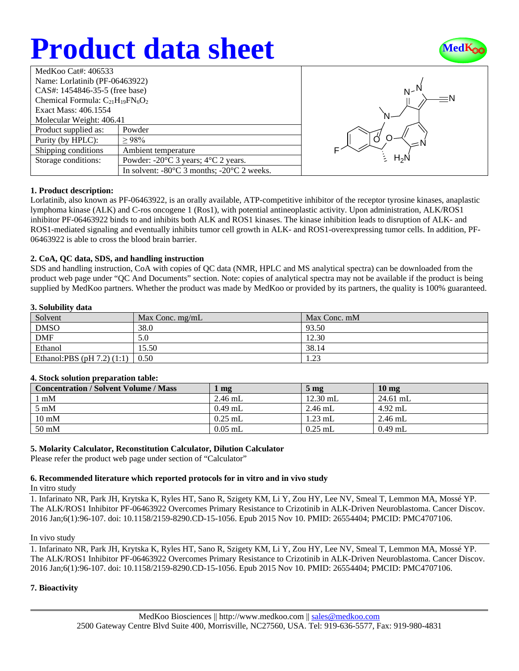# **Product data sheet**



| MedKoo Cat#: 406533                     |                                                                |  |  |  |
|-----------------------------------------|----------------------------------------------------------------|--|--|--|
| Name: Lorlatinib (PF-06463922)          |                                                                |  |  |  |
| CAS#: 1454846-35-5 (free base)          |                                                                |  |  |  |
| Chemical Formula: $C_{21}H_{19}FN_6O_2$ |                                                                |  |  |  |
| Exact Mass: 406.1554                    |                                                                |  |  |  |
| Molecular Weight: 406.41                |                                                                |  |  |  |
| Product supplied as:                    | Powder                                                         |  |  |  |
| Purity (by HPLC):                       | >98%                                                           |  |  |  |
| Shipping conditions                     | Ambient temperature                                            |  |  |  |
| Storage conditions:                     | Powder: $-20^{\circ}$ C 3 years; $4^{\circ}$ C 2 years.        |  |  |  |
|                                         | In solvent: $-80^{\circ}$ C 3 months; $-20^{\circ}$ C 2 weeks. |  |  |  |



## **1. Product description:**

Lorlatinib, also known as PF-06463922, is an orally available, ATP-competitive inhibitor of the receptor tyrosine kinases, anaplastic lymphoma kinase (ALK) and C-ros oncogene 1 (Ros1), with potential antineoplastic activity. Upon administration, ALK/ROS1 inhibitor PF-06463922 binds to and inhibits both ALK and ROS1 kinases. The kinase inhibition leads to disruption of ALK- and ROS1-mediated signaling and eventually inhibits tumor cell growth in ALK- and ROS1-overexpressing tumor cells. In addition, PF-06463922 is able to cross the blood brain barrier.

## **2. CoA, QC data, SDS, and handling instruction**

SDS and handling instruction, CoA with copies of QC data (NMR, HPLC and MS analytical spectra) can be downloaded from the product web page under "QC And Documents" section. Note: copies of analytical spectra may not be available if the product is being supplied by MedKoo partners. Whether the product was made by MedKoo or provided by its partners, the quality is 100% guaranteed.

## **3. Solubility data**

| -------                        |                 |              |  |  |
|--------------------------------|-----------------|--------------|--|--|
| Solvent                        | Max Conc. mg/mL | Max Conc. mM |  |  |
| <b>DMSO</b>                    | 38.0            | 93.50        |  |  |
| <b>DMF</b>                     | 5.0             | 12.30        |  |  |
| Ethanol                        | 15.50           | 38.14        |  |  |
| Ethanol:PBS $(pH 7.2)$ $(1:1)$ | $\pm 0.50$      | 1.23         |  |  |

## **4. Stock solution preparation table:**

| <b>Concentration / Solvent Volume / Mass</b> | $\mu$ mg  | 5 <sub>mg</sub> | 10 <sub>mg</sub> |
|----------------------------------------------|-----------|-----------------|------------------|
| l mM                                         | $2.46$ mL | $12.30$ mL      | $24.61$ mL       |
| $5 \text{ mM}$                               | $0.49$ mL | $2.46$ mL       | $4.92$ mL        |
| $10 \text{ mM}$                              | $0.25$ mL | $1.23$ mL       | $2.46$ mL        |
| $50 \text{ mM}$                              | $0.05$ mL | $0.25$ mL       | $0.49$ mL        |

## **5. Molarity Calculator, Reconstitution Calculator, Dilution Calculator**

Please refer the product web page under section of "Calculator"

## **6. Recommended literature which reported protocols for in vitro and in vivo study**

In vitro study

1. Infarinato NR, Park JH, Krytska K, Ryles HT, Sano R, Szigety KM, Li Y, Zou HY, Lee NV, Smeal T, Lemmon MA, Mossé YP. The ALK/ROS1 Inhibitor PF-06463922 Overcomes Primary Resistance to Crizotinib in ALK-Driven Neuroblastoma. Cancer Discov. 2016 Jan;6(1):96-107. doi: 10.1158/2159-8290.CD-15-1056. Epub 2015 Nov 10. PMID: 26554404; PMCID: PMC4707106.

### In vivo study

1. Infarinato NR, Park JH, Krytska K, Ryles HT, Sano R, Szigety KM, Li Y, Zou HY, Lee NV, Smeal T, Lemmon MA, Mossé YP. The ALK/ROS1 Inhibitor PF-06463922 Overcomes Primary Resistance to Crizotinib in ALK-Driven Neuroblastoma. Cancer Discov. 2016 Jan;6(1):96-107. doi: 10.1158/2159-8290.CD-15-1056. Epub 2015 Nov 10. PMID: 26554404; PMCID: PMC4707106.

## **7. Bioactivity**